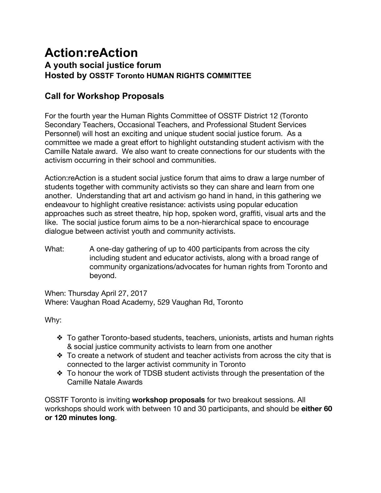# **Action:reAction A youth social justice forum Hosted by OSSTF Toronto HUMAN RIGHTS COMMITTEE**

## **Call for Workshop Proposals**

For the fourth year the Human Rights Committee of OSSTF District 12 (Toronto Secondary Teachers, Occasional Teachers, and Professional Student Services Personnel) will host an exciting and unique student social justice forum. As a committee we made a great effort to highlight outstanding student activism with the Camille Natale award. We also want to create connections for our students with the activism occurring in their school and communities.

Action:reAction is a student social justice forum that aims to draw a large number of students together with community activists so they can share and learn from one another. Understanding that art and activism go hand in hand, in this gathering we endeavour to highlight creative resistance: activists using popular education approaches such as street theatre, hip hop, spoken word, graffiti, visual arts and the like. The social justice forum aims to be a non-hierarchical space to encourage dialogue between activist youth and community activists.

What: A one-day gathering of up to 400 participants from across the city including student and educator activists, along with a broad range of community organizations/advocates for human rights from Toronto and beyond.

When: Thursday April 27, 2017 Where: Vaughan Road Academy, 529 Vaughan Rd, Toronto

Why:

- ❖ To gather Toronto-based students, teachers, unionists, artists and human rights & social justice community activists to learn from one another
- $\triangle$  To create a network of student and teacher activists from across the city that is connected to the larger activist community in Toronto
- ❖ To honour the work of TDSB student activists through the presentation of the Camille Natale Awards

OSSTF Toronto is inviting **workshop proposals** for two breakout sessions. All workshops should work with between 10 and 30 participants, and should be **either 60 or 120 minutes long**.